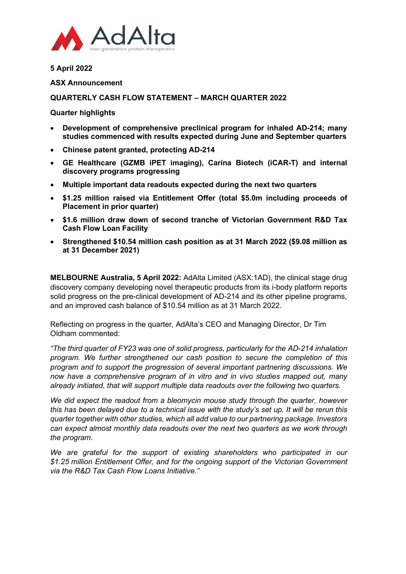

**5 April 2022**

## **ASX Announcement**

# **QUARTERLY CASH FLOW STATEMENT – MARCH QUARTER 2022**

# **Quarter highlights**

- **Development of comprehensive preclinical program for inhaled AD-214; many studies commenced with results expected during June and September quarters**
- **Chinese patent granted, protecting AD-214**
- **GE Healthcare (GZMB iPET imaging), Carina Biotech (iCAR-T) and internal discovery programs progressing**
- **Multiple important data readouts expected during the next two quarters**
- **\$1.25 million raised via Entitlement Offer (total \$5.0m including proceeds of Placement in prior quarter)**
- **\$1.6 million draw down of second tranche of Victorian Government R&D Tax Cash Flow Loan Facility**
- **Strengthened \$10.54 million cash position as at 31 March 2022 (\$9.08 million as at 31 December 2021)**

**MELBOURNE Australia, 5 April 2022:** AdAlta Limited (ASX:1AD), the clinical stage drug discovery company developing novel therapeutic products from its i-body platform reports solid progress on the pre-clinical development of AD-214 and its other pipeline programs, and an improved cash balance of \$10.54 million as at 31 March 2022.

Reflecting on progress in the quarter, AdAlta's CEO and Managing Director, Dr Tim Oldham commented:

*"The third quarter of FY23 was one of solid progress, particularly for the AD-214 inhalation program. We further strengthened our cash position to secure the completion of this program and to support the progression of several important partnering discussions. We now have a comprehensive program of in vitro and in vivo studies mapped out, many already initiated, that will support multiple data readouts over the following two quarters.*

*We did expect the readout from a bleomycin mouse study through the quarter, however this has been delayed due to a technical issue with the study's set up. It will be rerun this quarter together with other studies, which all add value to our partnering package. Investors can expect almost monthly data readouts over the next two quarters as we work through the program.* 

We are grateful for the support of existing shareholders who participated in our *\$1.25 million Entitlement Offer, and for the ongoing support of the Victorian Government via the R&D Tax Cash Flow Loans Initiative."*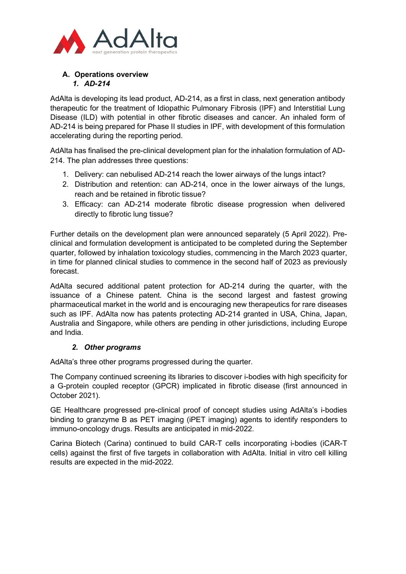

# **A. Operations overview** *1. AD-214*

AdAlta is developing its lead product, AD-214, as a first in class, next generation antibody therapeutic for the treatment of Idiopathic Pulmonary Fibrosis (IPF) and Interstitial Lung Disease (ILD) with potential in other fibrotic diseases and cancer. An inhaled form of AD-214 is being prepared for Phase II studies in IPF, with development of this formulation accelerating during the reporting period.

AdAlta has finalised the pre-clinical development plan for the inhalation formulation of AD-214. The plan addresses three questions:

- 1. Delivery: can nebulised AD-214 reach the lower airways of the lungs intact?
- 2. Distribution and retention: can AD-214, once in the lower airways of the lungs, reach and be retained in fibrotic tissue?
- 3. Efficacy: can AD-214 moderate fibrotic disease progression when delivered directly to fibrotic lung tissue?

Further details on the development plan were announced separately (5 April 2022). Preclinical and formulation development is anticipated to be completed during the September quarter, followed by inhalation toxicology studies, commencing in the March 2023 quarter, in time for planned clinical studies to commence in the second half of 2023 as previously forecast.

AdAlta secured additional patent protection for AD-214 during the quarter, with the issuance of a Chinese patent. China is the second largest and fastest growing pharmaceutical market in the world and is encouraging new therapeutics for rare diseases such as IPF. AdAlta now has patents protecting AD-214 granted in USA, China, Japan, Australia and Singapore, while others are pending in other jurisdictions, including Europe and India.

# *2. Other programs*

AdAlta's three other programs progressed during the quarter.

The Company continued screening its libraries to discover i-bodies with high specificity for a G-protein coupled receptor (GPCR) implicated in fibrotic disease (first announced in October 2021).

GE Healthcare progressed pre-clinical proof of concept studies using AdAlta's i-bodies binding to granzyme B as PET imaging (iPET imaging) agents to identify responders to immuno-oncology drugs. Results are anticipated in mid-2022.

Carina Biotech (Carina) continued to build CAR-T cells incorporating i-bodies (iCAR-T cells) against the first of five targets in collaboration with AdAlta. Initial in vitro cell killing results are expected in the mid-2022.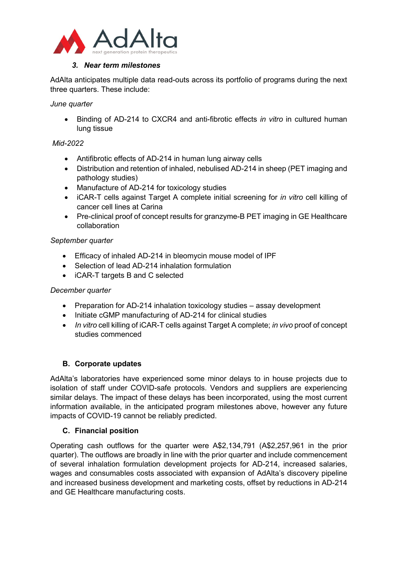

# *3. Near term milestones*

AdAlta anticipates multiple data read-outs across its portfolio of programs during the next three quarters. These include:

# *June quarter*

• Binding of AD-214 to CXCR4 and anti-fibrotic effects *in vitro* in cultured human lung tissue

# *Mid-2022*

- Antifibrotic effects of AD-214 in human lung airway cells
- Distribution and retention of inhaled, nebulised AD-214 in sheep (PET imaging and pathology studies)
- Manufacture of AD-214 for toxicology studies
- iCAR-T cells against Target A complete initial screening for *in vitro* cell killing of cancer cell lines at Carina
- Pre-clinical proof of concept results for granzyme-B PET imaging in GE Healthcare collaboration

# *September quarter*

- Efficacy of inhaled AD-214 in bleomycin mouse model of IPF
- Selection of lead AD-214 inhalation formulation
- iCAR-T targets B and C selected

# *December quarter*

- Preparation for AD-214 inhalation toxicology studies assay development
- Initiate cGMP manufacturing of AD-214 for clinical studies
- *In vitro* cell killing of iCAR-T cells against Target A complete; *in vivo* proof of concept studies commenced

# **B. Corporate updates**

AdAlta's laboratories have experienced some minor delays to in house projects due to isolation of staff under COVID-safe protocols. Vendors and suppliers are experiencing similar delays. The impact of these delays has been incorporated, using the most current information available, in the anticipated program milestones above, however any future impacts of COVID-19 cannot be reliably predicted.

# **C. Financial position**

Operating cash outflows for the quarter were A\$2,134,791 (A\$2,257,961 in the prior quarter). The outflows are broadly in line with the prior quarter and include commencement of several inhalation formulation development projects for AD-214, increased salaries, wages and consumables costs associated with expansion of AdAlta's discovery pipeline and increased business development and marketing costs, offset by reductions in AD-214 and GE Healthcare manufacturing costs.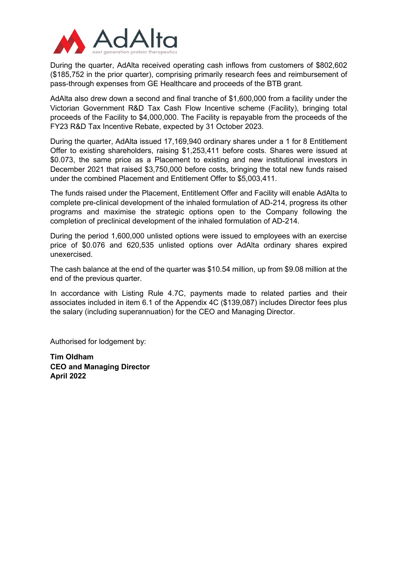

During the quarter, AdAlta received operating cash inflows from customers of \$802,602 (\$185,752 in the prior quarter), comprising primarily research fees and reimbursement of pass-through expenses from GE Healthcare and proceeds of the BTB grant.

AdAlta also drew down a second and final tranche of \$1,600,000 from a facility under the Victorian Government R&D Tax Cash Flow Incentive scheme (Facility), bringing total proceeds of the Facility to \$4,000,000. The Facility is repayable from the proceeds of the FY23 R&D Tax Incentive Rebate, expected by 31 October 2023.

During the quarter, AdAlta issued 17,169,940 ordinary shares under a 1 for 8 Entitlement Offer to existing shareholders, raising \$1,253,411 before costs. Shares were issued at \$0.073, the same price as a Placement to existing and new institutional investors in December 2021 that raised \$3,750,000 before costs, bringing the total new funds raised under the combined Placement and Entitlement Offer to \$5,003,411.

The funds raised under the Placement, Entitlement Offer and Facility will enable AdAlta to complete pre-clinical development of the inhaled formulation of AD-214, progress its other programs and maximise the strategic options open to the Company following the completion of preclinical development of the inhaled formulation of AD-214.

During the period 1,600,000 unlisted options were issued to employees with an exercise price of \$0.076 and 620,535 unlisted options over AdAlta ordinary shares expired unexercised.

The cash balance at the end of the quarter was \$10.54 million, up from \$9.08 million at the end of the previous quarter.

In accordance with Listing Rule 4.7C, payments made to related parties and their associates included in item 6.1 of the Appendix 4C (\$139,087) includes Director fees plus the salary (including superannuation) for the CEO and Managing Director.

Authorised for lodgement by:

**Tim Oldham CEO and Managing Director April 2022**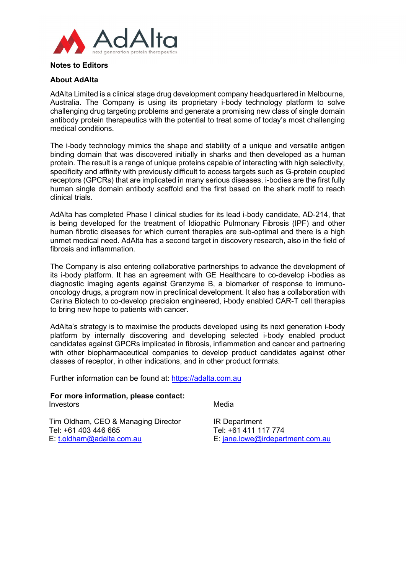

# **Notes to Editors**

# **About AdAlta**

AdAlta Limited is a clinical stage drug development company headquartered in Melbourne, Australia. The Company is using its proprietary i-body technology platform to solve challenging drug targeting problems and generate a promising new class of single domain antibody protein therapeutics with the potential to treat some of today's most challenging medical conditions.

The i-body technology mimics the shape and stability of a unique and versatile antigen binding domain that was discovered initially in sharks and then developed as a human protein. The result is a range of unique proteins capable of interacting with high selectivity, specificity and affinity with previously difficult to access targets such as G-protein coupled receptors (GPCRs) that are implicated in many serious diseases. i-bodies are the first fully human single domain antibody scaffold and the first based on the shark motif to reach clinical trials.

AdAlta has completed Phase I clinical studies for its lead i-body candidate, AD-214, that is being developed for the treatment of Idiopathic Pulmonary Fibrosis (IPF) and other human fibrotic diseases for which current therapies are sub-optimal and there is a high unmet medical need. AdAlta has a second target in discovery research, also in the field of fibrosis and inflammation.

The Company is also entering collaborative partnerships to advance the development of its i-body platform. It has an agreement with GE Healthcare to co-develop i-bodies as diagnostic imaging agents against Granzyme B, a biomarker of response to immunooncology drugs, a program now in preclinical development. It also has a collaboration with Carina Biotech to co-develop precision engineered, i-body enabled CAR-T cell therapies to bring new hope to patients with cancer.

AdAlta's strategy is to maximise the products developed using its next generation i-body platform by internally discovering and developing selected i-body enabled product candidates against GPCRs implicated in fibrosis, inflammation and cancer and partnering with other biopharmaceutical companies to develop product candidates against other classes of receptor, in other indications, and in other product formats.

Further information can be found at: [https://adalta.com.au](https://adalta.com.au/) 

### **For more information, please contact:**  Investors

Media

Tim Oldham, CEO & Managing Director Tel: +61 403 446 665 E: [t.oldham@adalta.com.au](mailto:t.oldham@adalta.com.au)

IR Department Tel: +61 411 117 774 E: [jane.lowe@irdepartment.com.au](mailto:jane.lowe@irdepartment.com.au)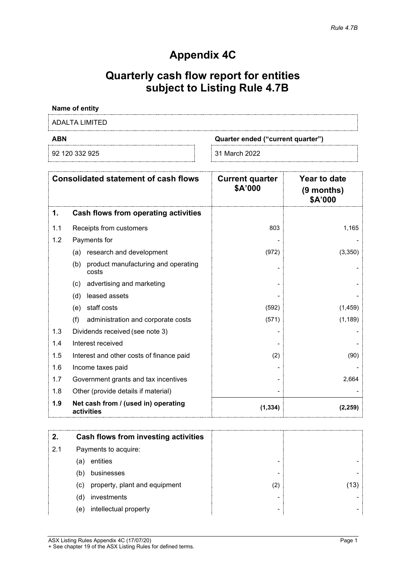# **Appendix 4C**

# **Quarterly cash flow report for entities subject to Listing Rule 4.7B**

# **Name of entity**

ADALTA LIMITED

92 120 332 925 31 March 2022

**ABN Quarter ended ("current quarter")**

|     | <b>Consolidated statement of cash flows</b>         | <b>Current quarter</b><br>\$A'000 | <b>Year to date</b><br>(9 months)<br>\$A'000 |
|-----|-----------------------------------------------------|-----------------------------------|----------------------------------------------|
| 1.  | Cash flows from operating activities                |                                   |                                              |
| 1.1 | Receipts from customers                             | 803                               | 1,165                                        |
| 1.2 | Payments for                                        |                                   |                                              |
|     | research and development<br>(a)                     | (972)                             | (3,350)                                      |
|     | product manufacturing and operating<br>(b)<br>costs |                                   |                                              |
|     | advertising and marketing<br>(c)                    |                                   |                                              |
|     | leased assets<br>(d)                                |                                   |                                              |
|     | staff costs<br>(e)                                  | (592)                             | (1, 459)                                     |
|     | (f)<br>administration and corporate costs           | (571)                             | (1, 189)                                     |
| 1.3 | Dividends received (see note 3)                     |                                   |                                              |
| 1.4 | Interest received                                   |                                   |                                              |
| 1.5 | Interest and other costs of finance paid            | (2)                               | (90)                                         |
| 1.6 | Income taxes paid                                   |                                   |                                              |
| 1.7 | Government grants and tax incentives                |                                   | 2,664                                        |
| 1.8 | Other (provide details if material)                 |                                   |                                              |
| 1.9 | Net cash from / (used in) operating<br>activities   | (1, 334)                          | (2, 259)                                     |

|     | Cash flows from investing activities |     |  |
|-----|--------------------------------------|-----|--|
| 2.1 | Payments to acquire:                 |     |  |
|     | entities<br>(a)                      |     |  |
|     | businesses<br>(b)                    |     |  |
|     | (c) property, plant and equipment    | (2) |  |
|     | investments<br>(d)                   |     |  |
|     | intellectual property<br>(e)         |     |  |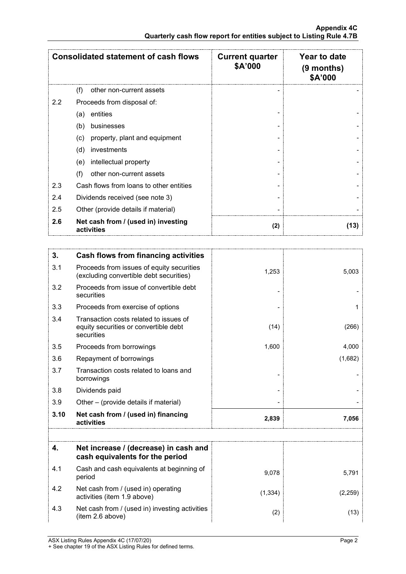|     | <b>Consolidated statement of cash flows</b>       | <b>Current quarter</b><br>\$A'000 | Year to date<br>$(9$ months)<br>\$A'000 |
|-----|---------------------------------------------------|-----------------------------------|-----------------------------------------|
|     | (f)<br>other non-current assets                   |                                   |                                         |
| 2.2 | Proceeds from disposal of:                        |                                   |                                         |
|     | entities<br>(a)                                   |                                   |                                         |
|     | businesses<br>(b)                                 |                                   |                                         |
|     | property, plant and equipment<br>(c)              |                                   |                                         |
|     | investments<br>(d)                                |                                   |                                         |
|     | intellectual property<br>(e)                      |                                   |                                         |
|     | (f)<br>other non-current assets                   |                                   |                                         |
| 2.3 | Cash flows from loans to other entities           |                                   |                                         |
| 2.4 | Dividends received (see note 3)                   |                                   |                                         |
| 2.5 | Other (provide details if material)               |                                   |                                         |
| 2.6 | Net cash from / (used in) investing<br>activities | (2)                               | (13)                                    |

| 3.   | <b>Cash flows from financing activities</b>                                                   |          |              |
|------|-----------------------------------------------------------------------------------------------|----------|--------------|
| 3.1  | Proceeds from issues of equity securities<br>(excluding convertible debt securities)          | 1,253    | 5,003        |
| 3.2  | Proceeds from issue of convertible debt<br>securities                                         |          |              |
| 3.3  | Proceeds from exercise of options                                                             |          | $\mathbf{1}$ |
| 3.4  | Transaction costs related to issues of<br>equity securities or convertible debt<br>securities | (14)     | (266)        |
| 3.5  | Proceeds from borrowings                                                                      | 1,600    | 4,000        |
| 3.6  | Repayment of borrowings                                                                       |          | (1,682)      |
| 3.7  | Transaction costs related to loans and<br>borrowings                                          |          |              |
| 3.8  | Dividends paid                                                                                |          |              |
| 3.9  | Other – (provide details if material)                                                         |          |              |
| 3.10 | Net cash from / (used in) financing<br>activities                                             | 2,839    | 7,056        |
|      |                                                                                               |          |              |
| 4.   | Net increase / (decrease) in cash and<br>cash equivalents for the period                      |          |              |
| 4.1  | Cash and cash equivalents at beginning of<br>period                                           | 9,078    | 5,791        |
| 4.2  | Net cash from / (used in) operating<br>activities (item 1.9 above)                            | (1, 334) | (2, 259)     |
| 4.3  | Net cash from / (used in) investing activities<br>(item 2.6 above)                            | (2)      | (13)         |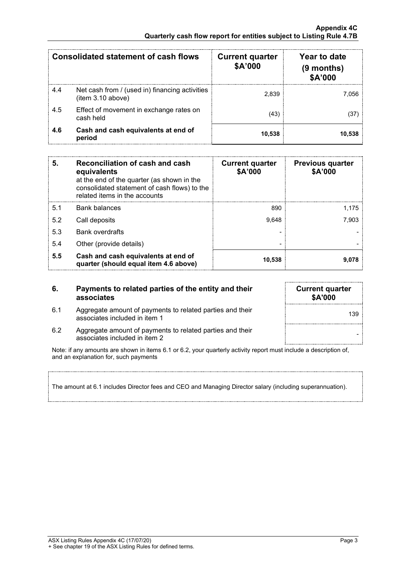|     | Consolidated statement of cash flows                                | <b>Current quarter</b><br><b>\$A'000</b> | Year to date<br>(9 months)<br><b>\$A'000</b> |
|-----|---------------------------------------------------------------------|------------------------------------------|----------------------------------------------|
| 4.4 | Net cash from / (used in) financing activities<br>(item 3.10 above) | 2.839                                    | .056                                         |
| 4.5 | Effect of movement in exchange rates on<br>cash held                | (43)                                     |                                              |
| 4.6 | Cash and cash equivalents at end of<br>period                       | 10,538                                   |                                              |

| 5.  | Reconciliation of cash and cash<br>equivalents<br>at the end of the quarter (as shown in the<br>consolidated statement of cash flows) to the<br>related items in the accounts | <b>Current quarter</b><br>\$A'000 | <b>Previous quarter</b><br>\$A'000 |
|-----|-------------------------------------------------------------------------------------------------------------------------------------------------------------------------------|-----------------------------------|------------------------------------|
| 5.1 | Bank balances                                                                                                                                                                 | 890                               | 1.175                              |
| 5.2 | Call deposits                                                                                                                                                                 | 9.648                             | 7.903                              |
| 5.3 | <b>Bank overdrafts</b>                                                                                                                                                        |                                   |                                    |
| 5.4 | Other (provide details)                                                                                                                                                       |                                   |                                    |
| 5.5 | Cash and cash equivalents at end of<br>quarter (should equal item 4.6 above)                                                                                                  | 10,538                            |                                    |

# **6. Payments to related parties of the entity and their associates**

- 6.1 Aggregate amount of payments to related parties and their Aggregate amount of payments to related parties and their<br>associates included in item 1
- **Current quarter \$A'000**
- 6.2 Aggregate amount of payments to related parties and their associates included in item 2

Note: if any amounts are shown in items 6.1 or 6.2, your quarterly activity report must include a description of, and an explanation for, such payments

The amount at 6.1 includes Director fees and CEO and Managing Director salary (including superannuation).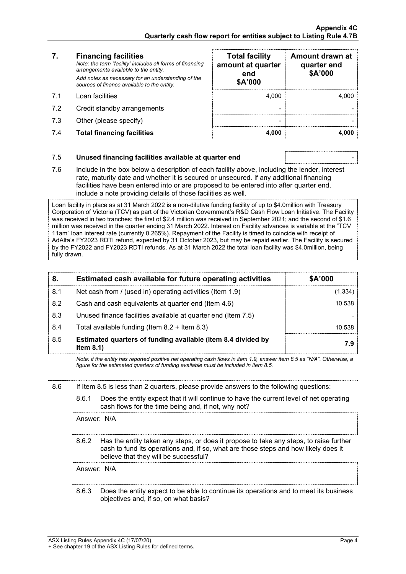# **7. Financing facilities**

- 
- 7.2 Credit standby arrangements
- 7.3 Other (please specify)
- 7.4 **Total financing facilities 4,000 4,000**

| 7.  | <b>Financing facilities</b><br>Note: the term "facility' includes all forms of financing<br>arrangements available to the entity.<br>Add notes as necessary for an understanding of the<br>sources of finance available to the entity. | <b>Total facility</b><br>amount at quarter<br>end<br>\$A'000 | Amount drawn at<br>quarter end<br>\$A'000 |
|-----|----------------------------------------------------------------------------------------------------------------------------------------------------------------------------------------------------------------------------------------|--------------------------------------------------------------|-------------------------------------------|
| 71  | Loan facilities                                                                                                                                                                                                                        | 4.000                                                        |                                           |
| 7.2 | Credit standby arrangements                                                                                                                                                                                                            |                                                              |                                           |
| 7.3 | Other (please specify)                                                                                                                                                                                                                 |                                                              |                                           |
| 7.4 | <b>Total financing facilities</b>                                                                                                                                                                                                      | 4.000                                                        |                                           |

# 7.5 **Unused financing facilities available at quarter end** -

7.6 Include in the box below a description of each facility above, including the lender, interest rate, maturity date and whether it is secured or unsecured. If any additional financing facilities have been entered into or are proposed to be entered into after quarter end, include a note providing details of those facilities as well.

Loan facility in place as at 31 March 2022 is a non-dilutive funding facility of up to \$4.0million with Treasury Corporation of Victoria (TCV) as part of the Victorian Government's R&D Cash Flow Loan Initiative. The Facility was received in two tranches: the first of \$2.4 million was received in September 2021; and the second of \$1.6 million was received in the quarter ending 31 March 2022. Interest on Facility advances is variable at the "TCV 11am" loan interest rate (currently 0.265%). Repayment of the Facility is timed to coincide with receipt of AdAlta's FY2023 RDTI refund, expected by 31 October 2023, but may be repaid earlier. The Facility is secured by the FY2022 and FY2023 RDTI refunds. As at 31 March 2022 the total loan facility was \$4.0million, being fully drawn.

| 8.  | Estimated cash available for future operating activities                     | \$A'000 |
|-----|------------------------------------------------------------------------------|---------|
| 8.1 | Net cash from / (used in) operating activities (Item 1.9)                    |         |
| 8.2 | Cash and cash equivalents at quarter end (Item 4.6)                          | 10.538  |
| 8.3 | Unused finance facilities available at quarter end (Item 7.5)                |         |
| 8.4 | Total available funding (Item $8.2 +$ Item $8.3$ )                           | 10.538  |
| 8.5 | Estimated quarters of funding available (Item 8.4 divided by<br>Item $8.1$ ) | 7.9     |

*Note: if the entity has reported positive net operating cash flows in item 1.9, answer item 8.5 as "N/A". Otherwise, a figure for the estimated quarters of funding available must be included in item 8.5.*

### 8.6 If Item 8.5 is less than 2 quarters, please provide answers to the following questions:

#### 8.6.1 Does the entity expect that it will continue to have the current level of net operating cash flows for the time being and, if not, why not?

Answer: N/A

8.6.2 Has the entity taken any steps, or does it propose to take any steps, to raise further cash to fund its operations and, if so, what are those steps and how likely does it believe that they will be successful?

Answer: N/A

8.6.3 Does the entity expect to be able to continue its operations and to meet its business objectives and, if so, on what basis?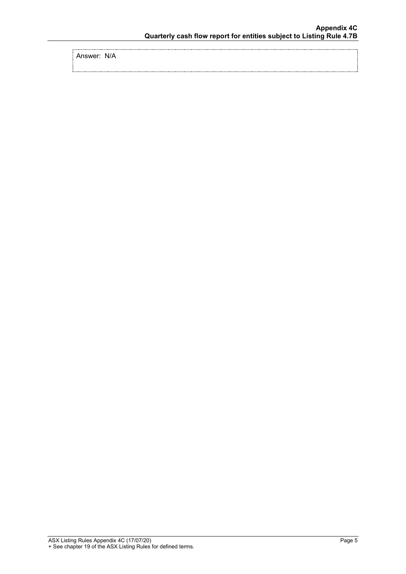Answer: N/A